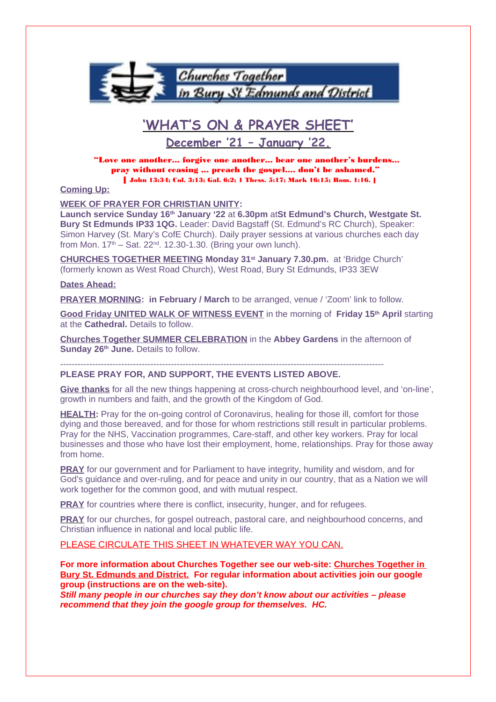

# **'WHAT'S ON & PRAYER SHEET'**

**December '21 – January '22.**

"Love one another... forgive one another... bear one another's burdens... pray without ceasing ,.. preach the gospel.... don't be ashamed." [ John 13:34; Col. 3:13; Gal. 6:2; 1 Thess. 5:17; Mark 16:15; Rom. 1:16. ]

# **Coming Up:**

**WEEK OF PRAYER FOR CHRISTIAN UNITY:** 

**Launch service Sunday 16th January '22** at **6.30pm** at**St Edmund's Church, Westgate St. Bury St Edmunds IP33 1QG.** Leader: David Bagstaff (St. Edmund's RC Church), Speaker: Simon Harvey (St. Mary's CofE Church). Daily prayer sessions at various churches each day from Mon.  $17<sup>th</sup>$  – Sat.  $22<sup>nd</sup>$ . 12.30-1.30. (Bring your own lunch).

**CHURCHES TOGETHER MEETING Monday 31st January 7.30.pm.** at 'Bridge Church' (formerly known as West Road Church), West Road, Bury St Edmunds, IP33 3EW

#### **Dates Ahead:**

**PRAYER MORNING: in February / March** to be arranged, venue / 'Zoom' link to follow.

**Good Friday UNITED WALK OF WITNESS EVENT** in the morning of **Friday 15th April** starting at the **Cathedral.** Details to follow.

**Churches Together SUMMER CELEBRATION** in the **Abbey Gardens** in the afternoon of **Sunday 26th June.** Details to follow.

---------------------------------------------------------------------------------------------------------------

#### **PLEASE PRAY FOR, AND SUPPORT, THE EVENTS LISTED ABOVE.**

**Give thanks** for all the new things happening at cross-church neighbourhood level, and 'on-line', growth in numbers and faith, and the growth of the Kingdom of God.

**HEALTH:** Pray for the on-going control of Coronavirus, healing for those ill, comfort for those dying and those bereaved, and for those for whom restrictions still result in particular problems. Pray for the NHS, Vaccination programmes, Care-staff, and other key workers. Pray for local businesses and those who have lost their employment, home, relationships. Pray for those away from home.

**PRAY** for our government and for Parliament to have integrity, humility and wisdom, and for God's guidance and over-ruling, and for peace and unity in our country, that as a Nation we will work together for the common good, and with mutual respect.

**PRAY** for countries where there is conflict, insecurity, hunger, and for refugees.

**PRAY** for our churches, for gospel outreach, pastoral care, and neighbourhood concerns, and Christian influence in national and local public life.

PLEASE CIRCULATE THIS SHEET IN WHATEVER WAY YOU CAN.

**For more information about Churches Together see our web-site: Churches Together in Bury St. Edmunds and District. For regular information about activities join our google group (instructions are on the web-site).**

**Still many people in our churches say they don't know about our activities – please recommend that they join the google group for themselves. HC.**